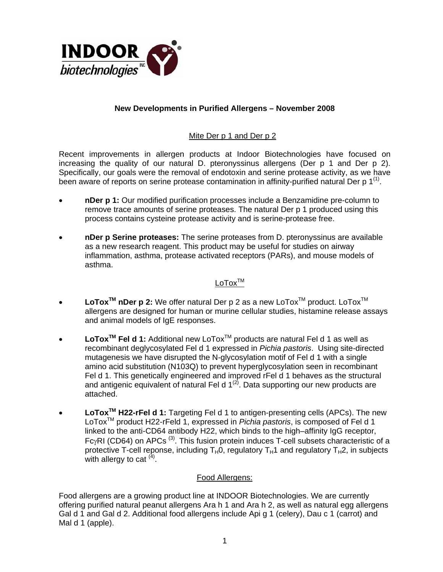

## **New Developments in Purified Allergens – November 2008**

## Mite Der p 1 and Der p 2

Recent improvements in allergen products at Indoor Biotechnologies have focused on increasing the quality of our natural D. pteronyssinus allergens (Der p 1 and Der p 2). Specifically, our goals were the removal of endotoxin and serine protease activity, as we have been aware of reports on serine protease contamination in affinity-purified natural Der p  $1^{(1)}$ .

- **nDer p 1:** Our modified purification processes include a Benzamidine pre-column to remove trace amounts of serine proteases. The natural Der p 1 produced using this process contains cysteine protease activity and is serine-protease free.
- **nDer p Serine proteases:** The serine proteases from D. pteronyssinus are available as a new research reagent. This product may be useful for studies on airway inflammation, asthma, protease activated receptors (PARs), and mouse models of asthma.

## $L_{\Omega}T\Omega x^{TM}$

- LoTox<sup>™</sup> nDer p 2: We offer natural Der p 2 as a new LoTox<sup>™</sup> product. LoTox<sup>™</sup> allergens are designed for human or murine cellular studies, histamine release assays and animal models of IgE responses.
- LoTox<sup>™</sup> Fel d 1: Additional new LoTox<sup>™</sup> products are natural Fel d 1 as well as recombinant deglycosylated Fel d 1 expressed in *Pichia pastoris*. Using site-directed mutagenesis we have disrupted the N-glycosylation motif of Fel d 1 with a single amino acid substitution (N103Q) to prevent hyperglycosylation seen in recombinant Fel d 1. This genetically engineered and improved rFel d 1 behaves as the structural and antigenic equivalent of natural Fel d  $1^{(2)}$ . Data supporting our new products are attached.
- **LoToxTM H22-rFel d 1:** Targeting Fel d 1 to antigen-presenting cells (APCs). The new LoToxTM product H22-rFeld 1, expressed in *Pichia pastoris*, is composed of Fel d 1 linked to the anti-CD64 antibody H22, which binds to the high–affinity IgG receptor, FcγRI (CD64) on APCs (3). This fusion protein induces T-cell subsets characteristic of a protective T-cell reponse, including  $T_H0$ , regulatory  $T_H1$  and regulatory  $T_H2$ , in subjects with allergy to cat  $(4)$ .

#### Food Allergens:

Food allergens are a growing product line at INDOOR Biotechnologies. We are currently offering purified natural peanut allergens Ara h 1 and Ara h 2, as well as natural egg allergens Gal d 1 and Gal d 2. Additional food allergens include Api g 1 (celery), Dau c 1 (carrot) and Mal d 1 (apple).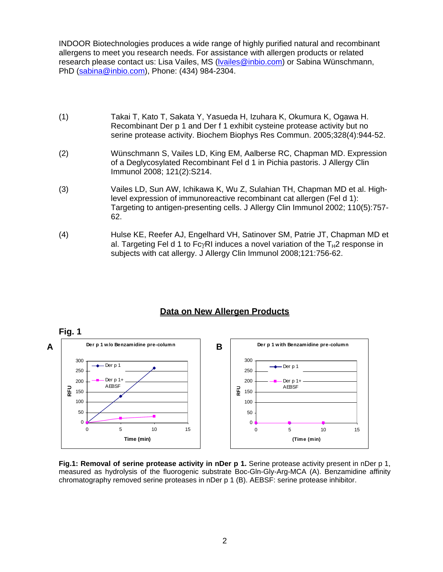INDOOR Biotechnologies produces a wide range of highly purified natural and recombinant allergens to meet you research needs. For assistance with allergen products or related research please contact us: Lisa Vailes, MS (Ivailes@inbio.com) or Sabina Wünschmann, PhD (sabina@inbio.com), Phone: (434) 984-2304.

- (1) Takai T, Kato T, Sakata Y, Yasueda H, Izuhara K, Okumura K, Ogawa H. Recombinant Der p 1 and Der f 1 exhibit cysteine protease activity but no serine protease activity. Biochem Biophys Res Commun. 2005;328(4):944-52.
- (2) Wünschmann S, Vailes LD, King EM, Aalberse RC, Chapman MD. Expression of a Deglycosylated Recombinant Fel d 1 in Pichia pastoris. J Allergy Clin Immunol 2008; 121(2):S214.
- (3) Vailes LD, Sun AW, Ichikawa K, Wu Z, Sulahian TH, Chapman MD et al. Highlevel expression of immunoreactive recombinant cat allergen (Fel d 1): Targeting to antigen-presenting cells. J Allergy Clin Immunol 2002; 110(5):757- 62.
- (4) Hulse KE, Reefer AJ, Engelhard VH, Satinover SM, Patrie JT, Chapman MD et al. Targeting Fel d 1 to FcγRI induces a novel variation of the  $T_H2$  response in subjects with cat allergy. J Allergy Clin Immunol 2008;121:756-62.



# **Data on New Allergen Products**

**Fig.1: Removal of serine protease activity in nDer p 1.** Serine protease activity present in nDer p 1, measured as hydrolysis of the fluorogenic substrate Boc-Gln-Gly-Arg-MCA (A). Benzamidine affinity chromatography removed serine proteases in nDer p 1 (B). AEBSF: serine protease inhibitor.